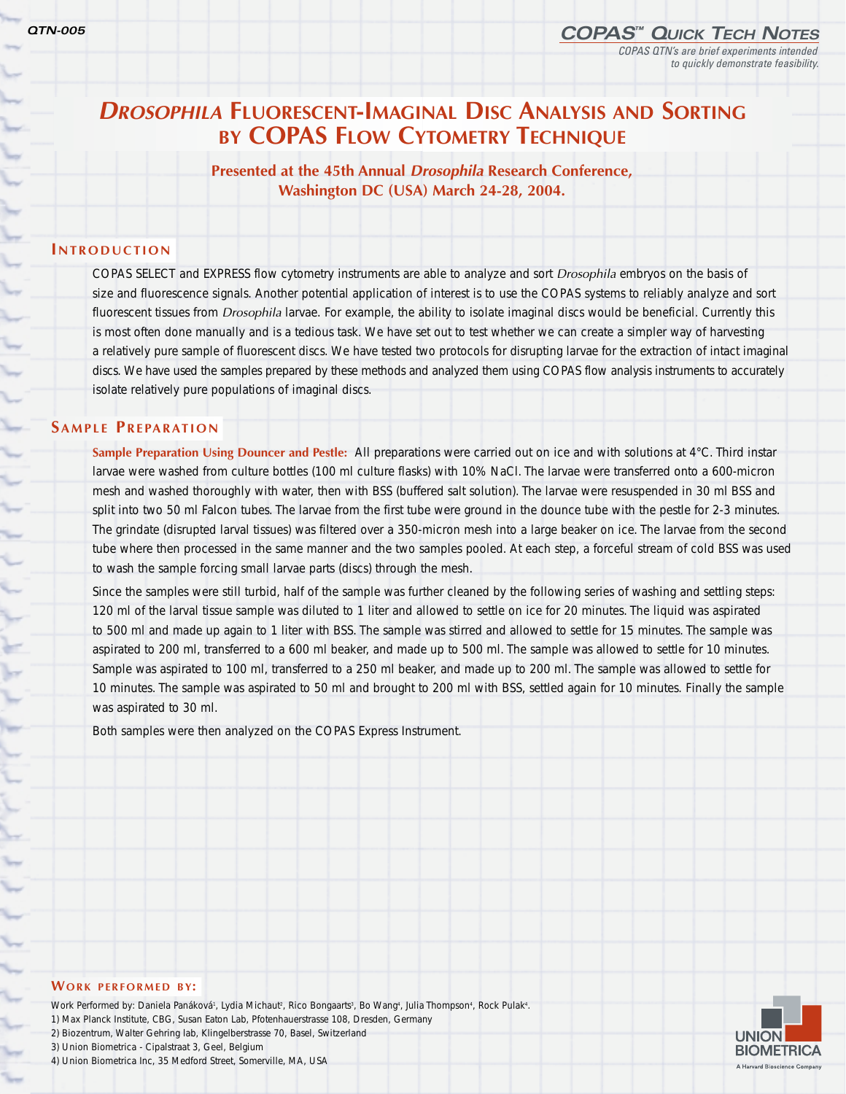╰

⊾

€

÷ ļ,

he.

Versi

# *DROSOPHILA* **FLUORESCENT-IMAGINAL DISC ANALYSIS AND SORTING BY COPAS FLOW CYTOMETRY TECHNIQUE**

**Presented at the 45th Annual** *Drosophila* **Research Conference, Washington DC (USA) March 24-28, 2004.**

## **INTRODUCTION**

COPAS SELECT and EXPRESS flow cytometry instruments are able to analyze and sort *Drosophila* embryos on the basis of size and fluorescence signals. Another potential application of interest is to use the COPAS systems to reliably analyze and sort fluorescent tissues from *Drosophila* larvae. For example, the ability to isolate imaginal discs would be beneficial. Currently this is most often done manually and is a tedious task. We have set out to test whether we can create a simpler way of harvesting a relatively pure sample of fluorescent discs. We have tested two protocols for disrupting larvae for the extraction of intact imaginal discs. We have used the samples prepared by these methods and analyzed them using COPAS flow analysis instruments to accurately isolate relatively pure populations of imaginal discs.

# **SAMPLE PREPARATION**

**Sample Preparation Using Douncer and Pestle:** All preparations were carried out on ice and with solutions at 4°C. Third instar larvae were washed from culture bottles (100 ml culture flasks) with 10% NaCl. The larvae were transferred onto a 600-micron mesh and washed thoroughly with water, then with BSS (buffered salt solution). The larvae were resuspended in 30 ml BSS and split into two 50 ml Falcon tubes. The larvae from the first tube were ground in the dounce tube with the pestle for 2-3 minutes. The grindate (disrupted larval tissues) was filtered over a 350-micron mesh into a large beaker on ice. The larvae from the second tube where then processed in the same manner and the two samples pooled. At each step, a forceful stream of cold BSS was used to wash the sample forcing small larvae parts (discs) through the mesh.

Since the samples were still turbid, half of the sample was further cleaned by the following series of washing and settling steps: 120 ml of the larval tissue sample was diluted to 1 liter and allowed to settle on ice for 20 minutes. The liquid was aspirated to 500 ml and made up again to 1 liter with BSS. The sample was stirred and allowed to settle for 15 minutes. The sample was aspirated to 200 ml, transferred to a 600 ml beaker, and made up to 500 ml. The sample was allowed to settle for 10 minutes. Sample was aspirated to 100 ml, transferred to a 250 ml beaker, and made up to 200 ml. The sample was allowed to settle for 10 minutes. The sample was aspirated to 50 ml and brought to 200 ml with BSS, settled again for 10 minutes. Finally the sample was aspirated to 30 ml.

Both samples were then analyzed on the COPAS Express Instrument.

#### **WORK PERFORMED BY:**

Work Performed by: Daniela Panáková<sup>1</sup>, Lydia Michaut<sup>2</sup>, Rico Bongaarts<sup>3</sup>, Bo Wang4, Julia Thompson4, Rock Pulak4. 1) Max Planck Institute, CBG, Susan Eaton Lab, Pfotenhauerstrasse 108, Dresden, Germany 2) Biozentrum, Walter Gehring lab, Klingelberstrasse 70, Basel, Switzerland 3) Union Biometrica - Cipalstraat 3, Geel, Belgium 4) Union Biometrica Inc, 35 Medford Street, Somerville, MA, USA

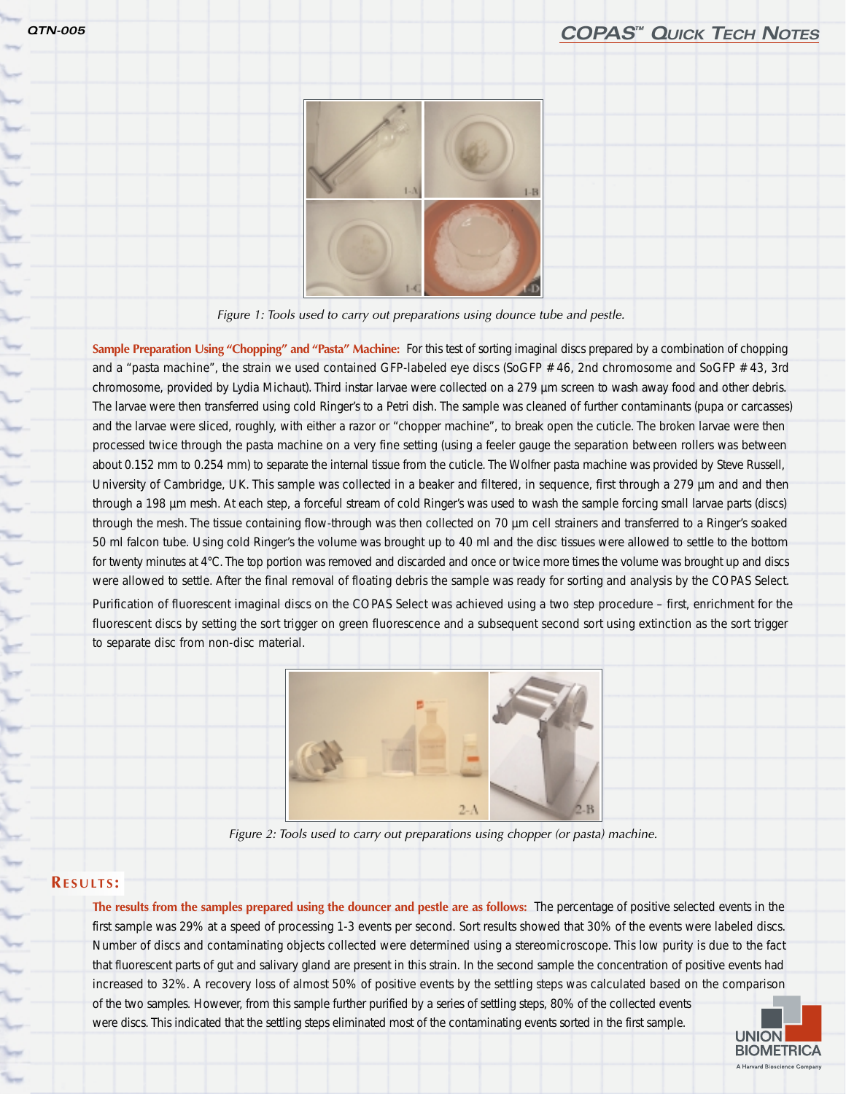

*Figure 1: Tools used to carry out preparations using dounce tube and pestle.*

**Sample Preparation Using "Chopping" and "Pasta" Machine:** For this test of sorting imaginal discs prepared by a combination of chopping and a "pasta machine", the strain we used contained GFP-labeled eye discs (SoGFP # 46, 2nd chromosome and SoGFP # 43, 3rd chromosome, provided by Lydia Michaut). Third instar larvae were collected on a 279 µm screen to wash away food and other debris. The larvae were then transferred using cold Ringer's to a Petri dish. The sample was cleaned of further contaminants (pupa or carcasses) and the larvae were sliced, roughly, with either a razor or "chopper machine", to break open the cuticle. The broken larvae were then processed twice through the pasta machine on a very fine setting (using a feeler gauge the separation between rollers was between about 0.152 mm to 0.254 mm) to separate the internal tissue from the cuticle. The Wolfner pasta machine was provided by Steve Russell, University of Cambridge, UK. This sample was collected in a beaker and filtered, in sequence, first through a 279 µm and and then through a 198 µm mesh. At each step, a forceful stream of cold Ringer's was used to wash the sample forcing small larvae parts (discs) through the mesh. The tissue containing flow-through was then collected on 70 µm cell strainers and transferred to a Ringer's soaked 50 ml falcon tube. Using cold Ringer's the volume was brought up to 40 ml and the disc tissues were allowed to settle to the bottom for twenty minutes at 4°C. The top portion was removed and discarded and once or twice more times the volume was brought up and discs were allowed to settle. After the final removal of floating debris the sample was ready for sorting and analysis by the COPAS Select.

Purification of fluorescent imaginal discs on the COPAS Select was achieved using a two step procedure – first, enrichment for the fluorescent discs by setting the sort trigger on green fluorescence and a subsequent second sort using extinction as the sort trigger to separate disc from non-disc material.



*Figure 2: Tools used to carry out preparations using chopper (or pasta) machine.*

### **RESULTS :**

**The results from the samples prepared using the douncer and pestle are as follows:** The percentage of positive selected events in the first sample was 29% at a speed of processing 1-3 events per second. Sort results showed that 30% of the events were labeled discs. Number of discs and contaminating objects collected were determined using a stereomicroscope. This low purity is due to the fact that fluorescent parts of gut and salivary gland are present in this strain. In the second sample the concentration of positive events had increased to 32%. A recovery loss of almost 50% of positive events by the settling steps was calculated based on the comparison of the two samples. However, from this sample further purified by a series of settling steps, 80% of the collected events were discs. This indicated that the settling steps eliminated most of the contaminating events sorted in the first sample.

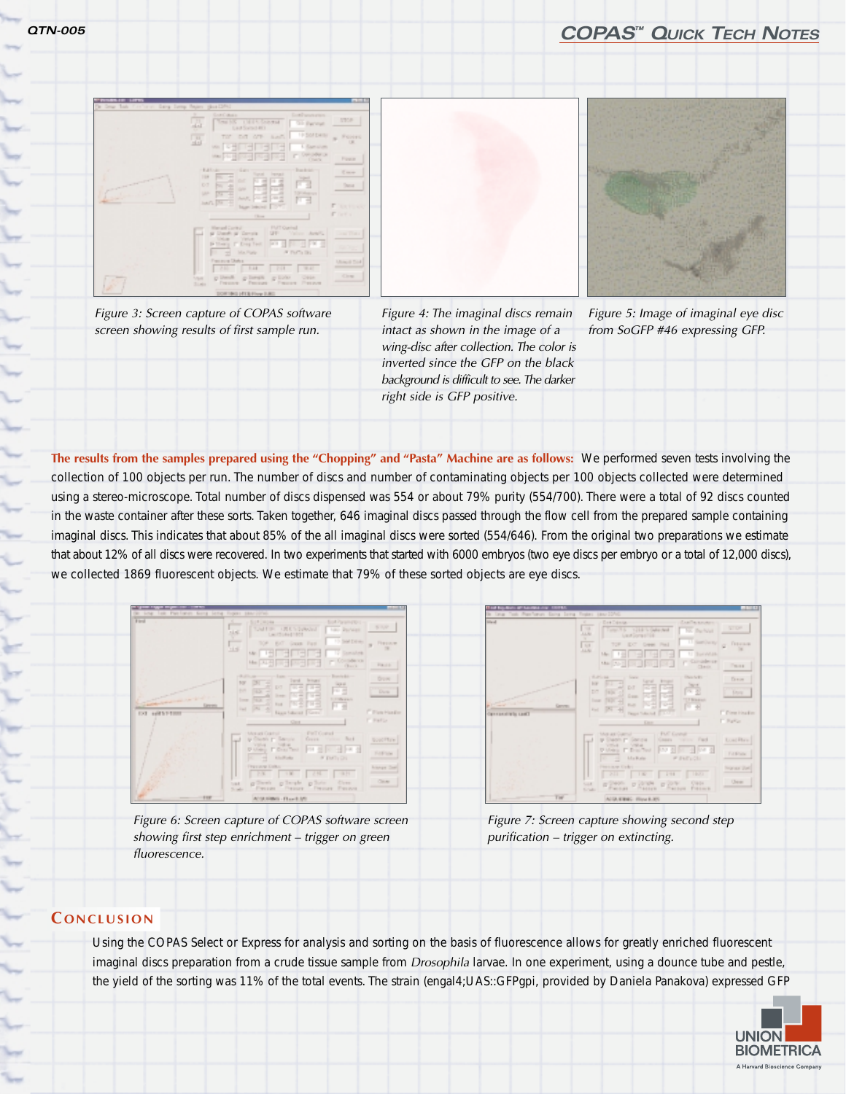# *QTN-005 COPAS™ QUICK TECH NOTES*





*Figure 3: Screen capture of COPAS software screen showing results of first sample run.*

*Figure 4: The imaginal discs remain intact as shown in the image of a wing-disc after collection. The color is inverted since the GFP on the black background is difficult to see. The darker right side is GFP positive.*

*Figure 5: Image of imaginal eye disc from SoGFP #46 expressing GFP.*

**The results from the samples prepared using the "Chopping" and "Pasta" Machine are as follows:** We performed seven tests involving the collection of 100 objects per run. The number of discs and number of contaminating objects per 100 objects collected were determined using a stereo-microscope. Total number of discs dispensed was 554 or about 79% purity (554/700). There were a total of 92 discs counted in the waste container after these sorts. Taken together, 646 imaginal discs passed through the flow cell from the prepared sample containing imaginal discs. This indicates that about 85% of the all imaginal discs were sorted (554/646). From the original two preparations we estimate that about 12% of all discs were recovered. In two experiments that started with 6000 embryos (two eye discs per embryo or a total of 12,000 discs), we collected 1869 fluorescent objects. We estimate that 79% of these sorted objects are eye discs.



*Figure 6: Screen capture of COPAS software screen showing first step enrichment – trigger on green fluorescence.*



*Figure 7: Screen capture showing second step purification – trigger on extincting.*

# **C ONCLUSION**

Using the COPAS Select or Express for analysis and sorting on the basis of fluorescence allows for greatly enriched fluorescent imaginal discs preparation from a crude tissue sample from *Drosophila* larvae. In one experiment, using a dounce tube and pestle, the yield of the sorting was 11% of the total events. The strain (engal4;UAS::GFPgpi, provided by Daniela Panakova) expressed GFP